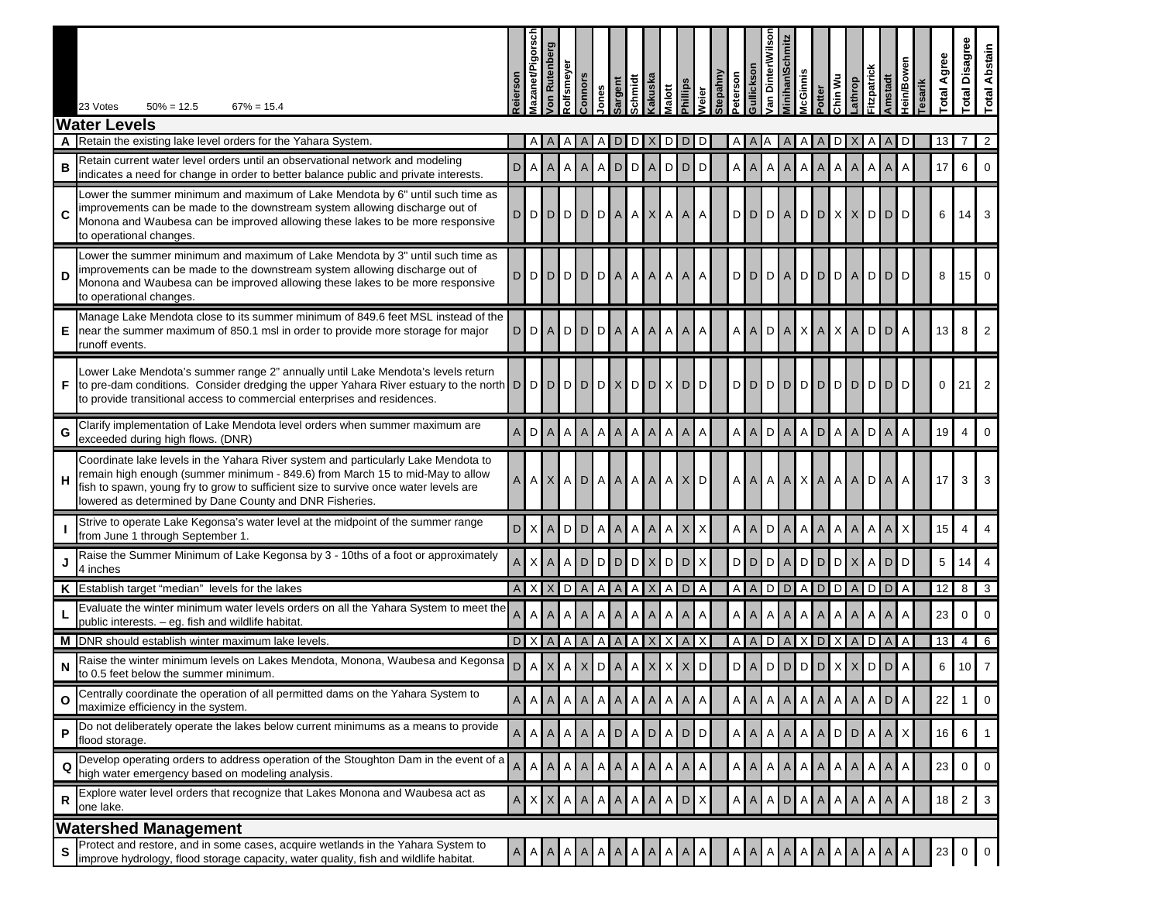|    | $50\% = 12.5$<br>$67\% = 15.4$<br>23 Votes                                                                                                                                                                                                                                                                             | <b>Reierson</b> | <b>Mazanet/Pigorscl</b> | on Rutenber    | Rolfsmeyeı | Connors        | ones             | sargent<br>schmidt | cakuska                        | <b>Malott</b> | hillips        | <b>Veier</b>   | Stepahny<br>eterson | iullickson                      | /an Dinter\Wilso | <b>Minihan\Sc</b> | <i><b>AcGinnis</b></i> | Potter         | Chin Wu         | athrop | Fitzpatrick  | <b>Amstadt</b> | lein/Bower<br>esarik | Agree<br>otal | <b>Total Disagree</b> | Abstain<br>Total |
|----|------------------------------------------------------------------------------------------------------------------------------------------------------------------------------------------------------------------------------------------------------------------------------------------------------------------------|-----------------|-------------------------|----------------|------------|----------------|------------------|--------------------|--------------------------------|---------------|----------------|----------------|---------------------|---------------------------------|------------------|-------------------|------------------------|----------------|-----------------|--------|--------------|----------------|----------------------|---------------|-----------------------|------------------|
|    | <b>Water Levels</b>                                                                                                                                                                                                                                                                                                    |                 |                         |                |            |                |                  |                    |                                |               |                |                |                     |                                 |                  |                   |                        |                |                 |        |              |                |                      |               |                       |                  |
|    | Retain the existing lake level orders for the Yahara System.                                                                                                                                                                                                                                                           |                 |                         |                |            |                |                  | D                  |                                |               |                |                |                     |                                 |                  |                   |                        |                |                 |        |              |                |                      | 13            |                       | $\overline{2}$   |
| в  | Retain current water level orders until an observational network and modeling<br>indicates a need for change in order to better balance public and private interests.                                                                                                                                                  | D               | $\mathsf{A}$            | A              | A          | $\overline{A}$ | $A$ <sub>D</sub> |                    | D A                            | D             | D              | D              |                     | $A \mid A \mid$                 | Α                | $\overline{A}$    | $\mathsf{A}$           | A              | $A \, A$        |        | Α            | $\overline{A}$ | Α                    | 17            | 6                     | $\Omega$         |
| C  | Lower the summer minimum and maximum of Lake Mendota by 6" until such time as<br>improvements can be made to the downstream system allowing discharge out of<br>Monona and Waubesa can be improved allowing these lakes to be more responsive<br>to operational changes.                                               |                 |                         |                |            |                |                  |                    | D[D[D]D[D]D[A][A][X][A][A]     |               |                | $\mathsf{A}$   |                     | $D$ $D$ $D$ $A$ $D$ $D$ $X$ $X$ |                  |                   |                        |                |                 |        | D D          |                | D                    | 6             | 14                    |                  |
| D  | Lower the summer minimum and maximum of Lake Mendota by 3" until such time as<br>improvements can be made to the downstream system allowing discharge out of<br>Monona and Waubesa can be improved allowing these lakes to be more responsive<br>to operational changes.                                               |                 |                         | D D D D D      |            |                |                  |                    | DIA AAAAA                      |               |                | $\overline{A}$ |                     | DDDADDDA                        |                  |                   |                        |                |                 |        | <b>DID</b>   |                | D                    | 8             |                       | $15$ 0           |
|    | Manage Lake Mendota close to its summer minimum of 849.6 feet MSL instead of the<br>near the summer maximum of 850.1 msl in order to provide more storage for major<br>runoff events.                                                                                                                                  |                 | DI D                    | $\mathsf{A}$   | D          | D              | D A              |                    | A A                            | A             | A              | A              |                     | AAD                             |                  | A                 | $\times$               | $\overline{A}$ | $X$ $A$         |        | D            | D              | A                    | 13            | 8                     |                  |
| F. | Lower Lake Mendota's summer range 2" annually until Lake Mendota's levels return<br>to pre-dam conditions. Consider dredging the upper Yahara River estuary to the north D D<br>to provide transitional access to commercial enterprises and residences.                                                               |                 |                         | D              | <b>DID</b> |                | D                | $\times$           | <b>DID</b>                     | X             | $\overline{D}$ | D              |                     | <u>polpipipipipipi</u>          |                  |                   |                        |                |                 |        | <b>DID</b>   |                | D                    | $\mathbf 0$   | 21                    |                  |
|    | Clarify implementation of Lake Mendota level orders when summer maximum are<br>exceeded during high flows. (DNR)                                                                                                                                                                                                       | A               | D                       | $\overline{A}$ | A          | A              | $\mathsf{A}$     | $\overline{A}$     | $\mathsf{A}$<br>$\overline{A}$ | A             | A              | Α              |                     | A A D                           |                  | $\overline{A}$    | $A$ D                  |                | $A \, A$        |        | $\mathsf D$  | A              | A                    | 19            | $\overline{4}$        | $\Omega$         |
| н  | Coordinate lake levels in the Yahara River system and particularly Lake Mendota to<br>remain high enough (summer minimum - 849.6) from March 15 to mid-May to allow<br>fish to spawn, young fry to grow to sufficient size to survive once water levels are<br>lowered as determined by Dane County and DNR Fisheries. |                 | A A                     | $\mathsf{X}$   | A          | $\mathsf{D}$   | $A \mid A \mid$  |                    | $A \mid A \mid$                | Α             | $\mathsf{X}$   | D              |                     | A A                             |                  | AAXI              |                        | $\mathsf{A}$   | $A \mid A \mid$ |        | $\mathsf{D}$ | $\mathsf{A}$   | A                    | 17            | 3                     |                  |
|    | Strive to operate Lake Kegonsa's water level at the midpoint of the summer range<br>from June 1 through September 1                                                                                                                                                                                                    | D               | X                       | $\mathsf{A}$   | D          | D              | $\mathsf A$      | $\mathsf{A}$       | $\mathsf{A}$<br>A              | A             | X              | Χ              |                     | A A D                           |                  | A                 | $\mathsf{A}$           | A              | A A             |        | Α            | $\mathsf{A}$   | X                    | 15            | $\overline{4}$        |                  |
|    | Raise the Summer Minimum of Lake Kegonsa by 3 - 10ths of a foot or approximately<br>4 inches                                                                                                                                                                                                                           | A               | X                       |                | A          | <b>D</b>       |                  |                    | D D D X                        | D             | D              | $\times$       |                     | <b>DDDA</b>                     |                  |                   |                        | DI             | $D$ $X$         |        | A            | D              | D                    | 5             | 14 <sup>1</sup>       |                  |
|    | K Establish target "median" levels for the lakes                                                                                                                                                                                                                                                                       |                 | A X X                   |                | D          | A              | A                | $\overline{A}$     | A                              |               | A D            | $\overline{A}$ |                     | AADDADDA                        |                  |                   |                        |                |                 |        | $D$          |                | $\overline{A}$       | 12            |                       | $8 \mid 3$       |
|    | Evaluate the winter minimum water levels orders on all the Yahara System to meet the<br>public interests. - eg. fish and wildlife habitat.                                                                                                                                                                             | $\overline{A}$  | A                       |                | A          | A              | Α                | $\overline{A}$     | A<br>A                         | A             | A              | Α              |                     | $A \mid A$                      |                  | A A               | A                      | A              | A A             |        | A            | $\overline{A}$ | A                    | 23            | $\mathbf 0$           | $\Omega$         |
| м  | DNR should establish winter maximum lake levels.                                                                                                                                                                                                                                                                       |                 | $D$ $X$ $A$             |                | Α          | A              | Α                | A                  | Α                              |               | $\overline{A}$ |                |                     | AADAXDXA                        |                  |                   |                        |                |                 |        | D A          |                | A                    | 13            | $\overline{4}$        | 6                |
| N  | Raise the winter minimum levels on Lakes Mendota, Monona, Waubesa and Kegonsa<br>to 0.5 feet below the summer minimum.                                                                                                                                                                                                 | D               | A                       |                | A          | X              | <b>DIA</b>       |                    | A                              | X             | X              | D              |                     | D[A]D[D]D[D]X[X]                |                  |                   |                        |                |                 |        | <b>DID</b>   |                | A                    | 6             | 10 <sup>1</sup>       |                  |
| O  | Centrally coordinate the operation of all permitted dams on the Yahara System to<br>maximize efficiency in the system.                                                                                                                                                                                                 | $A$ $A$         |                         |                | Α          | A              | A                | A                  | A                              |               | A              | A              |                     | A   A                           | Α                | A                 | A                      | A              | AIA             |        |              | D              |                      | 22            |                       | 0                |
| Ρ  | Do not deliberately operate the lakes below current minimums as a means to provide<br>flood storage.                                                                                                                                                                                                                   |                 | $A \, A$                | $\mathsf{A}$   | A          | $\mathsf{A}$   |                  |                    | ADAD                           |               | $A$ $D$ $D$    |                |                     | $A \mid A \mid$                 | A                | A                 | $\mathsf{A}$           | $\overline{A}$ | $D$ $D$         |        | Α            | $\mathsf{A}$   | X                    | 16            | 6                     |                  |
|    | Develop operating orders to address operation of the Stoughton Dam in the event of a<br>high water emergency based on modeling analysis.                                                                                                                                                                               | A               | Α                       |                | Α          | Α              | A                | A                  | A                              | Α             | A              | Α              |                     | A A                             | Α                | A                 | A                      | A              | $A \mid A$      |        | Α            | A              | Α                    | 23            | $\mathbf 0$           | $\mathbf 0$      |
| R  | Explore water level orders that recognize that Lakes Monona and Waubesa act as<br>one lake.                                                                                                                                                                                                                            | $A$ $X$         |                         |                | Α          |                |                  | A                  | Α                              | Α             | D              |                |                     | AI<br>A                         | Α                | D                 | A                      | A              | Α               |        |              | A              |                      | 18            | $\overline{2}$        | 3                |
|    | <b>Watershed Management</b>                                                                                                                                                                                                                                                                                            |                 |                         |                |            |                |                  |                    |                                |               |                |                |                     |                                 |                  |                   |                        |                |                 |        |              |                |                      |               |                       |                  |
| S  | Protect and restore, and in some cases, acquire wetlands in the Yahara System to<br>improve hydrology, flood storage capacity, water quality, fish and wildlife habitat.                                                                                                                                               |                 | A A                     |                | A          | A              |                  |                    |                                |               | A              |                |                     | ΑI                              |                  |                   |                        |                | A               |        |              |                |                      | 23            |                       |                  |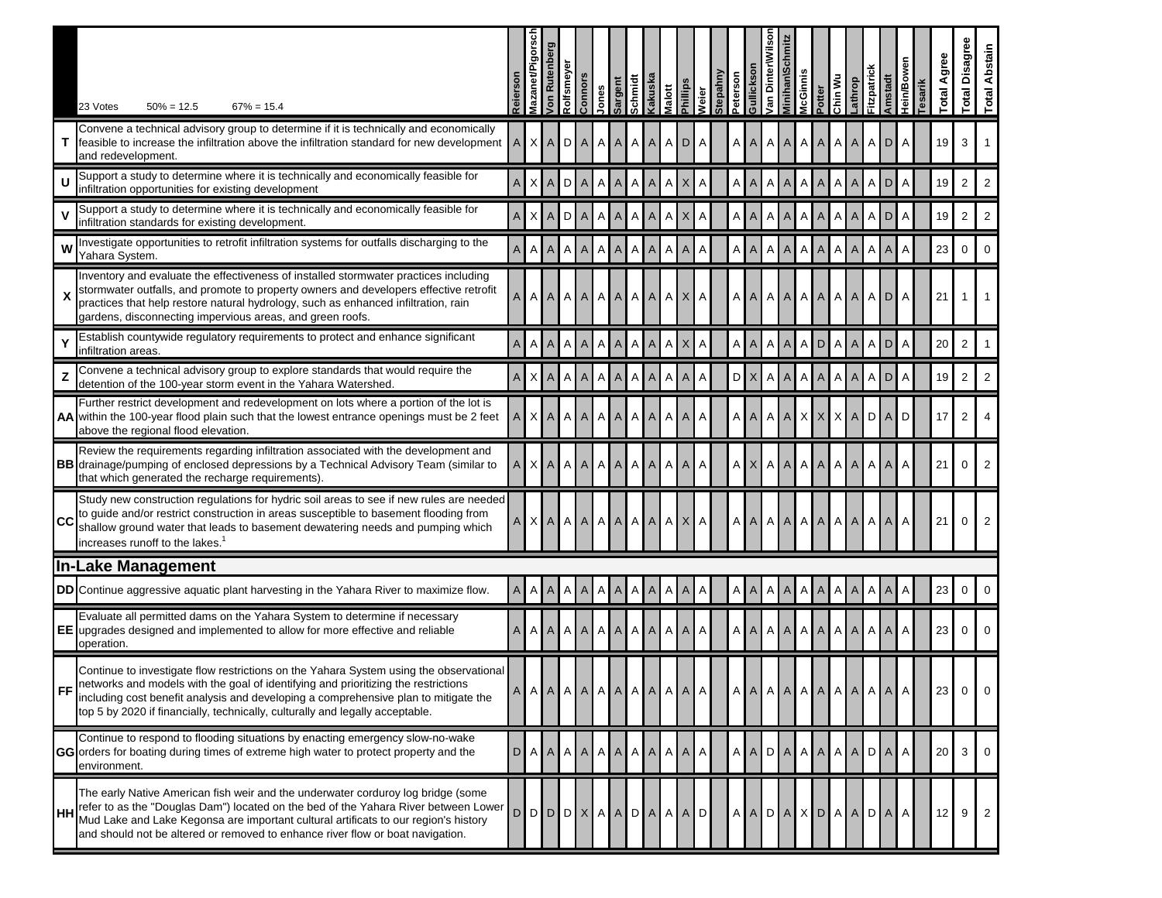|           | 23 Votes<br>$50\% = 12.5$<br>$67\% = 15.4$                                                                                                                                                                                                                                                                                                           | <b>Reiersor</b> | <b>Mazanet/F</b> | Ruter<br>Jon    | Rolfsmeye                 | <b>Connors</b> | lones          | Sargent     | Kakuska<br>Schmidt                          | <b>Malott</b>  | <b>Phillips</b> | Weier | Stepahny | Peterson | Van Dinter\Wilso<br>llicksol | dinihan\Sc                     | <b>McGinnis</b> | Potter      | Chin Wu                                             | athrop         | Fitzpatrick     | <b>Amstadt</b> | <b>Hein/Bow</b> | esarik | Agree<br>otal   | <b>Total Disagree</b> | Abstain<br>Total |
|-----------|------------------------------------------------------------------------------------------------------------------------------------------------------------------------------------------------------------------------------------------------------------------------------------------------------------------------------------------------------|-----------------|------------------|-----------------|---------------------------|----------------|----------------|-------------|---------------------------------------------|----------------|-----------------|-------|----------|----------|------------------------------|--------------------------------|-----------------|-------------|-----------------------------------------------------|----------------|-----------------|----------------|-----------------|--------|-----------------|-----------------------|------------------|
|           | Convene a technical advisory group to determine if it is technically and economically<br>feasible to increase the infiltration above the infiltration standard for new development<br>and redevelopment.                                                                                                                                             |                 |                  | X A             | D                         | $\mathsf{A}$   | $\mathsf{A}$   | A           | I A<br>A                                    | A              | D               | A     |          | A        | $\overline{A}$               | A<br>$\mathsf{A}$              | A               | A           | A                                                   | $\mathsf{A}$   | Α               | D              | A               |        | 19              | 3                     |                  |
|           | Support a study to determine where it is technically and economically feasible for<br>infiltration opportunities for existing development                                                                                                                                                                                                            | $\mathsf{A}$    |                  | X A             |                           | D A            |                |             | AAAAA                                       | Α              | $\mathsf{X}$    | Α     |          | A A      |                              | A<br>$\overline{A}$            | $\overline{A}$  | A           | $\mathsf{A}$                                        | $\overline{A}$ | Α               | $\mathsf{D}$   | A               |        | 19              | $\overline{2}$        | $\overline{2}$   |
|           | Support a study to determine where it is technically and economically feasible for<br>infiltration standards for existing development.                                                                                                                                                                                                               | A               |                  | $X$ $A$         |                           | D A            | $\mathsf{A}$   | A           | A<br>$\mathsf{A}$                           | Α              | $\mathsf{X}$    | Α     |          | A A      |                              | $\overline{A}$<br>Α            | $\mathsf{A}$    | Α           | A                                                   | $\mathsf{A}$   | Α               | D              | A               |        | 19              | $\overline{2}$        | $\overline{2}$   |
|           | Investigate opportunities to retrofit infiltration systems for outfalls discharging to the<br>Yahara System.                                                                                                                                                                                                                                         | A               |                  | $A \mid A \mid$ | A                         | A              | A              |             | AAA                                         | Α              | $\mathsf{A}$    | Α     |          | A A      |                              | Α<br>$\mathsf{A}$              | $\mathsf{A}$    | Α           | $\Delta$                                            | $\mathsf{A}$   | Α               | $\mathsf{A}$   | A               |        | 23              | $\mathbf 0$           | $\Omega$         |
|           | Inventory and evaluate the effectiveness of installed stormwater practices including<br>stormwater outfalls, and promote to property owners and developers effective retrofit<br>practices that help restore natural hydrology, such as enhanced infiltration, rain<br>gardens, disconnecting impervious areas, and green roofs.                     | A               |                  | A A             | $\mathsf{A}$              | $\mathsf{A}$   |                |             | AAAAAAAX                                    |                |                 | A     |          | A        | $\mathsf{A}$                 | Α<br>$\mathsf{A}$              | $\mathsf{A}$    |             | AAA                                                 |                | A D             |                | A               |        | 21              |                       |                  |
|           | Establish countywide regulatory requirements to protect and enhance significant<br>infiltration areas.                                                                                                                                                                                                                                               | $\overline{A}$  |                  | A   A           | A                         | $\overline{A}$ | $\overline{A}$ | $\mathsf A$ | $A \mid A \mid$                             | Α              | $\times$        | Α     |          | A A      |                              | $\overline{A}$<br>Α            | $\mathsf{A}$    |             | DA                                                  | $\mathsf{A}$   | Α               | D              | Α               |        | 20              | 2                     |                  |
|           | Convene a technical advisory group to explore standards that would require the<br>detention of the 100-year storm event in the Yahara Watershed.                                                                                                                                                                                                     | $\overline{A}$  |                  | X A             | $\boldsymbol{\mathsf{A}}$ | $\mathsf{A}$   |                |             | AAAAA                                       | $\overline{A}$ | $\mathsf{A}$    | A     |          | $D$ $X$  |                              | A<br>$\mathsf A$               | $\mathsf{A}$    | $\mathsf A$ |                                                     | $A$ $A$        | Α               | D              | A               |        | 19              | $\overline{2}$        | $\overline{2}$   |
|           | Further restrict development and redevelopment on lots where a portion of the lot is<br>AA within the 100-year flood plain such that the lowest entrance openings must be 2 feet<br>above the regional flood elevation                                                                                                                               |                 |                  | X A             | $\mathsf{A}$              | $\mathsf{A}$   | $\mathsf{A}$   |             | AAA                                         | Α              | A               | Α     |          | ΑI       | $\overline{A}$               | Α<br>$\mathsf{A}$              |                 | $\times$    | $X$ $X$ $A$                                         |                | DΙ              | $\mathsf{A}$   | D               |        | 17              | $\overline{2}$        |                  |
|           | Review the requirements regarding infiltration associated with the development and<br><b>BB</b> drainage/pumping of enclosed depressions by a Technical Advisory Team (similar to<br>that which generated the recharge requirements).                                                                                                                |                 |                  | $X$ $A$         | $\mathsf{A}$              | $\mathsf{A}$   |                |             | AAAAA                                       | Α              | A               | A     |          | A X      |                              | $\mathsf{A}$<br>Α              | ΑI              |             | AAA                                                 |                | Α               | A              | Α               |        | 21              | $\mathbf 0$           | $\overline{2}$   |
| ICC       | Study new construction regulations for hydric soil areas to see if new rules are needed<br>to guide and/or restrict construction in areas susceptible to basement flooding from<br>shallow ground water that leads to basement dewatering needs and pumping which<br>increases runoff to the lakes. <sup>1</sup>                                     |                 |                  |                 |                           |                |                |             | $X$ $A$ $A$ $A$ $A$ $A$ $A$ $A$ $A$ $A$ $X$ |                |                 | Α     |          | Α        | A                            | Α<br>$\mathsf{A}$              |                 |             | AAAAA                                               |                | $A \mid A \mid$ |                | A               |        | 21              | 0                     | $\overline{2}$   |
|           | <b>In-Lake Management</b>                                                                                                                                                                                                                                                                                                                            |                 |                  |                 |                           |                |                |             |                                             |                |                 |       |          |          |                              |                                |                 |             |                                                     |                |                 |                |                 |        |                 |                       |                  |
|           | <b>DD</b> Continue aggressive aquatic plant harvesting in the Yahara River to maximize flow.                                                                                                                                                                                                                                                         | $\mathsf{A}$    |                  | $A \mid A \mid$ |                           | $A \mid A$     | A              |             | AAA                                         |                | $A \mid A \mid$ | A     |          | A A      |                              | $\mathsf{A}$<br>$\overline{A}$ | $\mathsf{A}$    | A           | 1 A I                                               | $\mathsf{A}$   | Α               | $\mathsf{A}$   | Α               |        | 23              | $\mathbf 0$           | $\overline{0}$   |
|           | Evaluate all permitted dams on the Yahara System to determine if necessary<br><b>EE</b> upgrades designed and implemented to allow for more effective and reliable<br>operation.                                                                                                                                                                     | $\overline{A}$  |                  | A   A           | Α                         | $\mathsf{A}$   | $\mathsf{A}$   |             | AAA                                         | Α              | $\overline{A}$  | A     |          | ΑI       | $\mathsf{A}$                 | Α<br>$\overline{A}$            | $\mathsf{A}$    | A           | I A                                                 | $\mathsf{A}$   | Α               | $\overline{A}$ | A               |        | 23              | $\mathbf 0$           | $\Omega$         |
|           | Continue to investigate flow restrictions on the Yahara System using the observational<br>networks and models with the goal of identifying and prioritizing the restrictions<br>including cost benefit analysis and developing a comprehensive plan to mitigate the<br>top 5 by 2020 if financially, technically, culturally and legally acceptable. |                 |                  |                 |                           |                |                |             |                                             |                |                 |       |          |          |                              |                                |                 |             |                                                     |                |                 |                |                 |        | 23              | 0 <sup>0</sup>        |                  |
|           | Continue to respond to flooding situations by enacting emergency slow-no-wake<br>GG orders for boating during times of extreme high water to protect property and the<br>environment.                                                                                                                                                                |                 |                  |                 |                           |                |                |             | D[A[A]A[A]A[A]A[A]A[A]A                     |                |                 | A     |          |          |                              |                                |                 |             | $A$ $A$ $D$ $A$ $A$ $A$ $A$ $A$ $A$ $D$ $A$         |                |                 |                | A               |        | 20 <sub>1</sub> | 3                     |                  |
| <b>HH</b> | The early Native American fish weir and the underwater corduroy log bridge (some<br>refer to as the "Douglas Dam") located on the bed of the Yahara River between Lower<br>Mud Lake and Lake Kegonsa are important cultural artificats to our region's history<br>and should not be altered or removed to enhance river flow or boat navigation.     | D               |                  |                 |                           |                |                |             | DDDDXAADAAAD                                |                |                 |       |          |          |                              |                                |                 |             | $A$ $A$ $D$ $A$ $X$ $D$ $A$ $A$ $D$ $A$ $D$ $A$ $A$ |                |                 |                |                 |        | $12$ 9 2        |                       |                  |